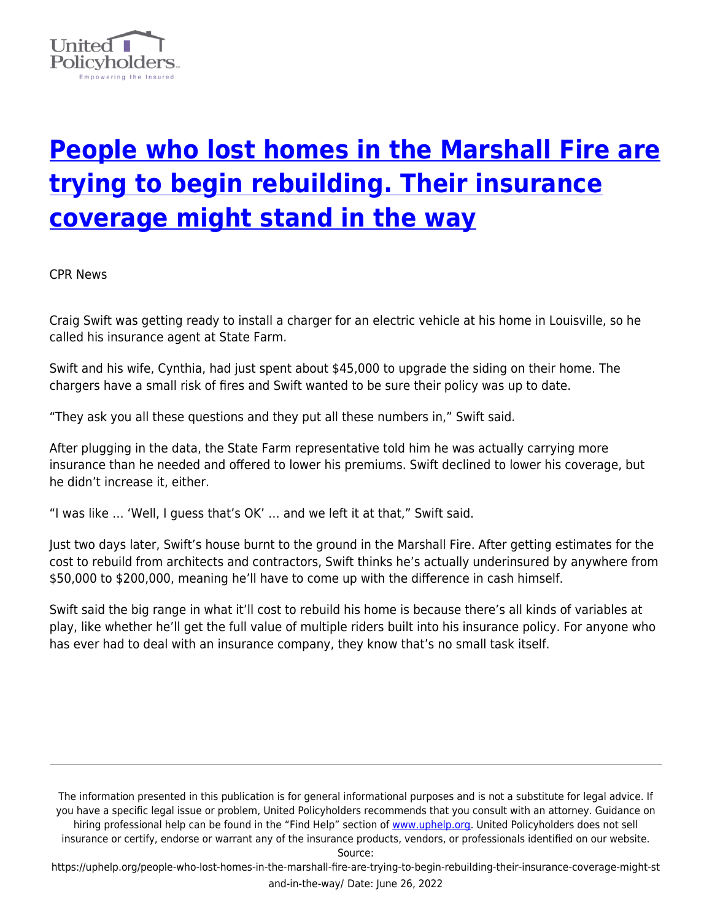

## **[People who lost homes in the Marshall Fire are](https://uphelp.org/people-who-lost-homes-in-the-marshall-fire-are-trying-to-begin-rebuilding-their-insurance-coverage-might-stand-in-the-way/) [trying to begin rebuilding. Their insurance](https://uphelp.org/people-who-lost-homes-in-the-marshall-fire-are-trying-to-begin-rebuilding-their-insurance-coverage-might-stand-in-the-way/) [coverage might stand in the way](https://uphelp.org/people-who-lost-homes-in-the-marshall-fire-are-trying-to-begin-rebuilding-their-insurance-coverage-might-stand-in-the-way/)**

CPR News

Craig Swift was getting ready to install a charger for an electric vehicle at his home in Louisville, so he called his insurance agent at State Farm.

Swift and his wife, Cynthia, had just spent about \$45,000 to upgrade the siding on their home. The chargers have a small risk of fires and Swift wanted to be sure their policy was up to date.

"They ask you all these questions and they put all these numbers in," Swift said.

After plugging in the data, the State Farm representative told him he was actually carrying more insurance than he needed and offered to lower his premiums. Swift declined to lower his coverage, but he didn't increase it, either.

"I was like … 'Well, I guess that's OK' … and we left it at that," Swift said.

Just two days later, Swift's house burnt to the ground in the Marshall Fire. After getting estimates for the cost to rebuild from architects and contractors, Swift thinks he's actually underinsured by anywhere from \$50,000 to \$200,000, meaning he'll have to come up with the difference in cash himself.

Swift said the big range in what it'll cost to rebuild his home is because there's all kinds of variables at play, like whether he'll get the full value of multiple riders built into his insurance policy. For anyone who has ever had to deal with an insurance company, they know that's no small task itself.

The information presented in this publication is for general informational purposes and is not a substitute for legal advice. If you have a specific legal issue or problem, United Policyholders recommends that you consult with an attorney. Guidance on hiring professional help can be found in the "Find Help" section of [www.uphelp.org.](http://www.uphelp.org/) United Policyholders does not sell insurance or certify, endorse or warrant any of the insurance products, vendors, or professionals identified on our website.

Source: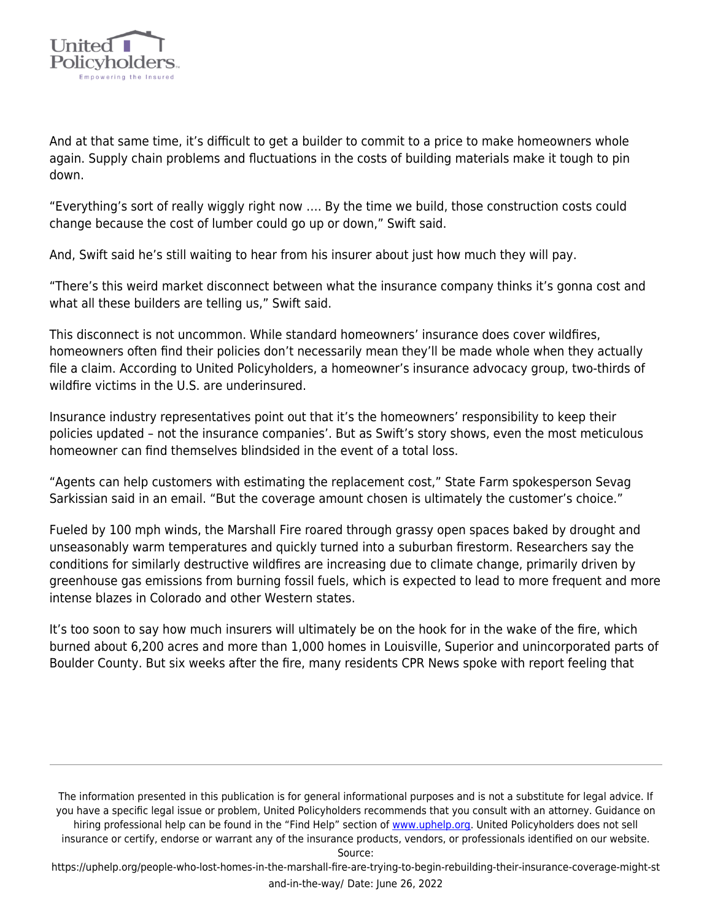

And at that same time, it's difficult to get a builder to commit to a price to make homeowners whole again. Supply chain problems and fluctuations in the costs of building materials make it tough to pin down.

"Everything's sort of really wiggly right now …. By the time we build, those construction costs could change because the cost of lumber could go up or down," Swift said.

And, Swift said he's still waiting to hear from his insurer about just how much they will pay.

"There's this weird market disconnect between what the insurance company thinks it's gonna cost and what all these builders are telling us," Swift said.

This disconnect is not uncommon. While standard homeowners' insurance does cover wildfires, homeowners often find their policies don't necessarily mean they'll be made whole when they actually file a claim. According to United Policyholders, a homeowner's insurance advocacy group, two-thirds of wildfire victims in the U.S. are underinsured.

Insurance industry representatives point out that it's the homeowners' responsibility to keep their policies updated – not the insurance companies'. But as Swift's story shows, even the most meticulous homeowner can find themselves blindsided in the event of a total loss.

"Agents can help customers with estimating the replacement cost," State Farm spokesperson Sevag Sarkissian said in an email. "But the coverage amount chosen is ultimately the customer's choice."

Fueled by 100 mph winds, the Marshall Fire roared through grassy open spaces baked by drought and unseasonably warm temperatures and quickly turned into a suburban firestorm. Researchers say the conditions for similarly destructive wildfires are increasing due to climate change, primarily driven by greenhouse gas emissions from burning fossil fuels, which is expected to lead to more frequent and more intense blazes in Colorado and other Western states.

It's too soon to say how much insurers will ultimately be on the hook for in the wake of the fire, which burned about 6,200 acres and more than 1,000 homes in Louisville, Superior and unincorporated parts of Boulder County. But six weeks after the fire, many residents CPR News spoke with report feeling that

The information presented in this publication is for general informational purposes and is not a substitute for legal advice. If you have a specific legal issue or problem, United Policyholders recommends that you consult with an attorney. Guidance on hiring professional help can be found in the "Find Help" section of [www.uphelp.org.](http://www.uphelp.org/) United Policyholders does not sell insurance or certify, endorse or warrant any of the insurance products, vendors, or professionals identified on our website.

Source: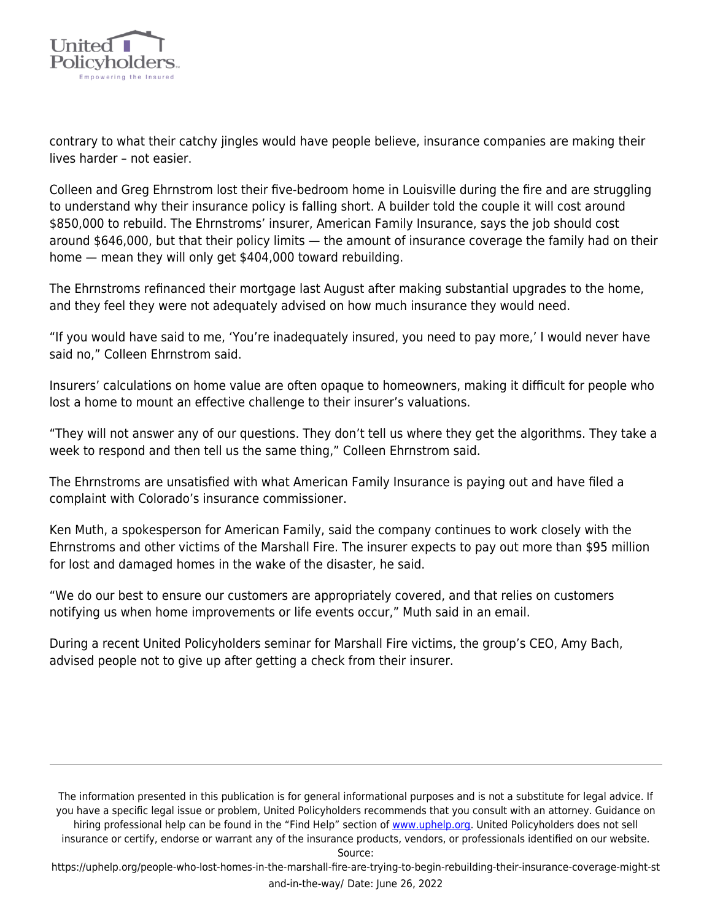

contrary to what their catchy jingles would have people believe, insurance companies are making their lives harder – not easier.

Colleen and Greg Ehrnstrom lost their five-bedroom home in Louisville during the fire and are struggling to understand why their insurance policy is falling short. A builder told the couple it will cost around \$850,000 to rebuild. The Ehrnstroms' insurer, American Family Insurance, says the job should cost around \$646,000, but that their policy limits — the amount of insurance coverage the family had on their home — mean they will only get \$404,000 toward rebuilding.

The Ehrnstroms refinanced their mortgage last August after making substantial upgrades to the home, and they feel they were not adequately advised on how much insurance they would need.

"If you would have said to me, 'You're inadequately insured, you need to pay more,' I would never have said no," Colleen Ehrnstrom said.

Insurers' calculations on home value are often opaque to homeowners, making it difficult for people who lost a home to mount an effective challenge to their insurer's valuations.

"They will not answer any of our questions. They don't tell us where they get the algorithms. They take a week to respond and then tell us the same thing," Colleen Ehrnstrom said.

The Ehrnstroms are unsatisfied with what American Family Insurance is paying out and have filed a complaint with Colorado's insurance commissioner.

Ken Muth, a spokesperson for American Family, said the company continues to work closely with the Ehrnstroms and other victims of the Marshall Fire. The insurer expects to pay out more than \$95 million for lost and damaged homes in the wake of the disaster, he said.

"We do our best to ensure our customers are appropriately covered, and that relies on customers notifying us when home improvements or life events occur," Muth said in an email.

During a recent United Policyholders seminar for Marshall Fire victims, the group's CEO, Amy Bach, advised people not to give up after getting a check from their insurer.

The information presented in this publication is for general informational purposes and is not a substitute for legal advice. If you have a specific legal issue or problem, United Policyholders recommends that you consult with an attorney. Guidance on hiring professional help can be found in the "Find Help" section of [www.uphelp.org.](http://www.uphelp.org/) United Policyholders does not sell insurance or certify, endorse or warrant any of the insurance products, vendors, or professionals identified on our website.

Source: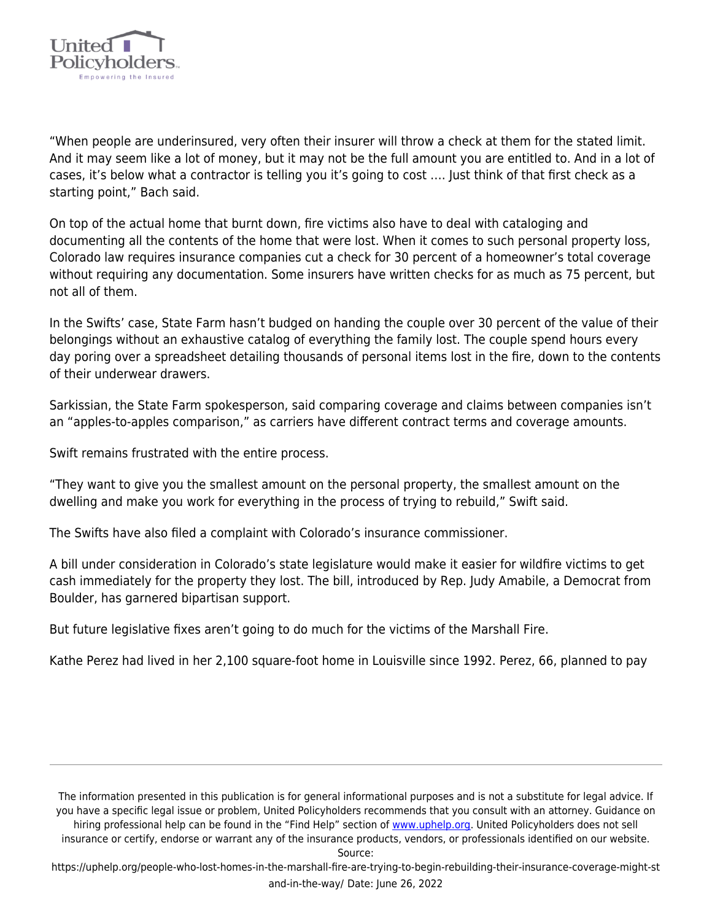

"When people are underinsured, very often their insurer will throw a check at them for the stated limit. And it may seem like a lot of money, but it may not be the full amount you are entitled to. And in a lot of cases, it's below what a contractor is telling you it's going to cost …. Just think of that first check as a starting point," Bach said.

On top of the actual home that burnt down, fire victims also have to deal with cataloging and documenting all the contents of the home that were lost. When it comes to such personal property loss, Colorado law requires insurance companies cut a check for 30 percent of a homeowner's total coverage without requiring any documentation. Some insurers have written checks for as much as 75 percent, but not all of them.

In the Swifts' case, State Farm hasn't budged on handing the couple over 30 percent of the value of their belongings without an exhaustive catalog of everything the family lost. The couple spend hours every day poring over a spreadsheet detailing thousands of personal items lost in the fire, down to the contents of their underwear drawers.

Sarkissian, the State Farm spokesperson, said comparing coverage and claims between companies isn't an "apples-to-apples comparison," as carriers have different contract terms and coverage amounts.

Swift remains frustrated with the entire process.

"They want to give you the smallest amount on the personal property, the smallest amount on the dwelling and make you work for everything in the process of trying to rebuild," Swift said.

The Swifts have also filed a complaint with Colorado's insurance commissioner.

A bill under consideration in Colorado's state legislature would make it easier for wildfire victims to get cash immediately for the property they lost. The bill, introduced by Rep. Judy Amabile, a Democrat from Boulder, has garnered bipartisan support.

But future legislative fixes aren't going to do much for the victims of the Marshall Fire.

Kathe Perez had lived in her 2,100 square-foot home in Louisville since 1992. Perez, 66, planned to pay

The information presented in this publication is for general informational purposes and is not a substitute for legal advice. If you have a specific legal issue or problem, United Policyholders recommends that you consult with an attorney. Guidance on hiring professional help can be found in the "Find Help" section of [www.uphelp.org.](http://www.uphelp.org/) United Policyholders does not sell insurance or certify, endorse or warrant any of the insurance products, vendors, or professionals identified on our website.

Source: